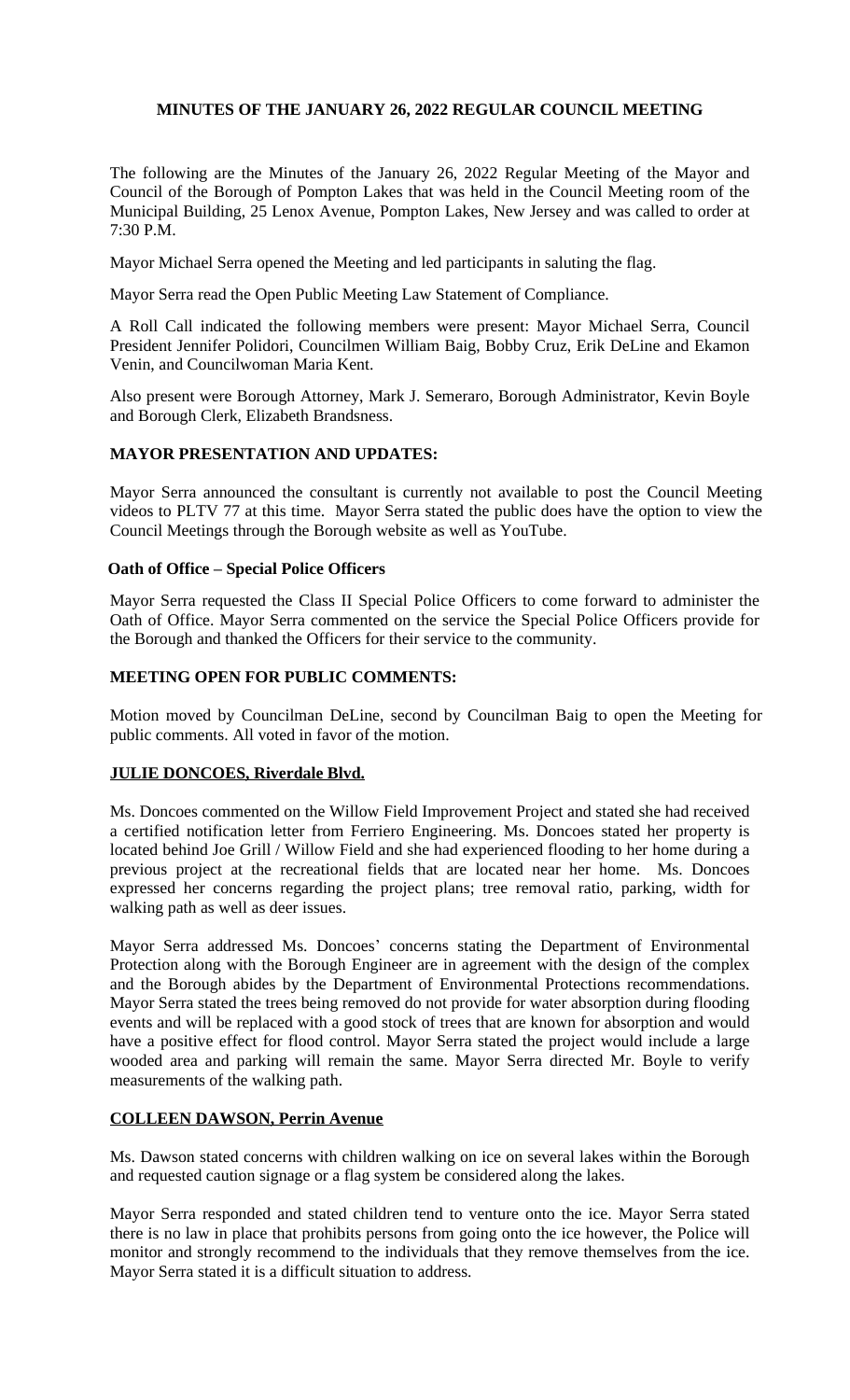# **MINUTES OF THE JANUARY 26, 2022 REGULAR COUNCIL MEETING**

The following are the Minutes of the January 26, 2022 Regular Meeting of the Mayor and Council of the Borough of Pompton Lakes that was held in the Council Meeting room of the Municipal Building, 25 Lenox Avenue, Pompton Lakes, New Jersey and was called to order at 7:30 P.M.

Mayor Michael Serra opened the Meeting and led participants in saluting the flag.

Mayor Serra read the Open Public Meeting Law Statement of Compliance.

A Roll Call indicated the following members were present: Mayor Michael Serra, Council President Jennifer Polidori, Councilmen William Baig, Bobby Cruz, Erik DeLine and Ekamon Venin, and Councilwoman Maria Kent.

Also present were Borough Attorney, Mark J. Semeraro, Borough Administrator, Kevin Boyle and Borough Clerk, Elizabeth Brandsness.

## **MAYOR PRESENTATION AND UPDATES:**

Mayor Serra announced the consultant is currently not available to post the Council Meeting videos to PLTV 77 at this time. Mayor Serra stated the public does have the option to view the Council Meetings through the Borough website as well as YouTube.

## **Oath of Office – Special Police Officers**

Mayor Serra requested the Class II Special Police Officers to come forward to administer the Oath of Office. Mayor Serra commented on the service the Special Police Officers provide for the Borough and thanked the Officers for their service to the community.

# **MEETING OPEN FOR PUBLIC COMMENTS:**

Motion moved by Councilman DeLine, second by Councilman Baig to open the Meeting for public comments. All voted in favor of the motion.

# **JULIE DONCOES, Riverdale Blvd.**

Ms. Doncoes commented on the Willow Field Improvement Project and stated she had received a certified notification letter from Ferriero Engineering. Ms. Doncoes stated her property is located behind Joe Grill / Willow Field and she had experienced flooding to her home during a previous project at the recreational fields that are located near her home. Ms. Doncoes expressed her concerns regarding the project plans; tree removal ratio, parking, width for walking path as well as deer issues.

Mayor Serra addressed Ms. Doncoes' concerns stating the Department of Environmental Protection along with the Borough Engineer are in agreement with the design of the complex and the Borough abides by the Department of Environmental Protections recommendations. Mayor Serra stated the trees being removed do not provide for water absorption during flooding events and will be replaced with a good stock of trees that are known for absorption and would have a positive effect for flood control. Mayor Serra stated the project would include a large wooded area and parking will remain the same. Mayor Serra directed Mr. Boyle to verify measurements of the walking path.

# **COLLEEN DAWSON, Perrin Avenue**

Ms. Dawson stated concerns with children walking on ice on several lakes within the Borough and requested caution signage or a flag system be considered along the lakes.

Mayor Serra responded and stated children tend to venture onto the ice. Mayor Serra stated there is no law in place that prohibits persons from going onto the ice however, the Police will monitor and strongly recommend to the individuals that they remove themselves from the ice. Mayor Serra stated it is a difficult situation to address.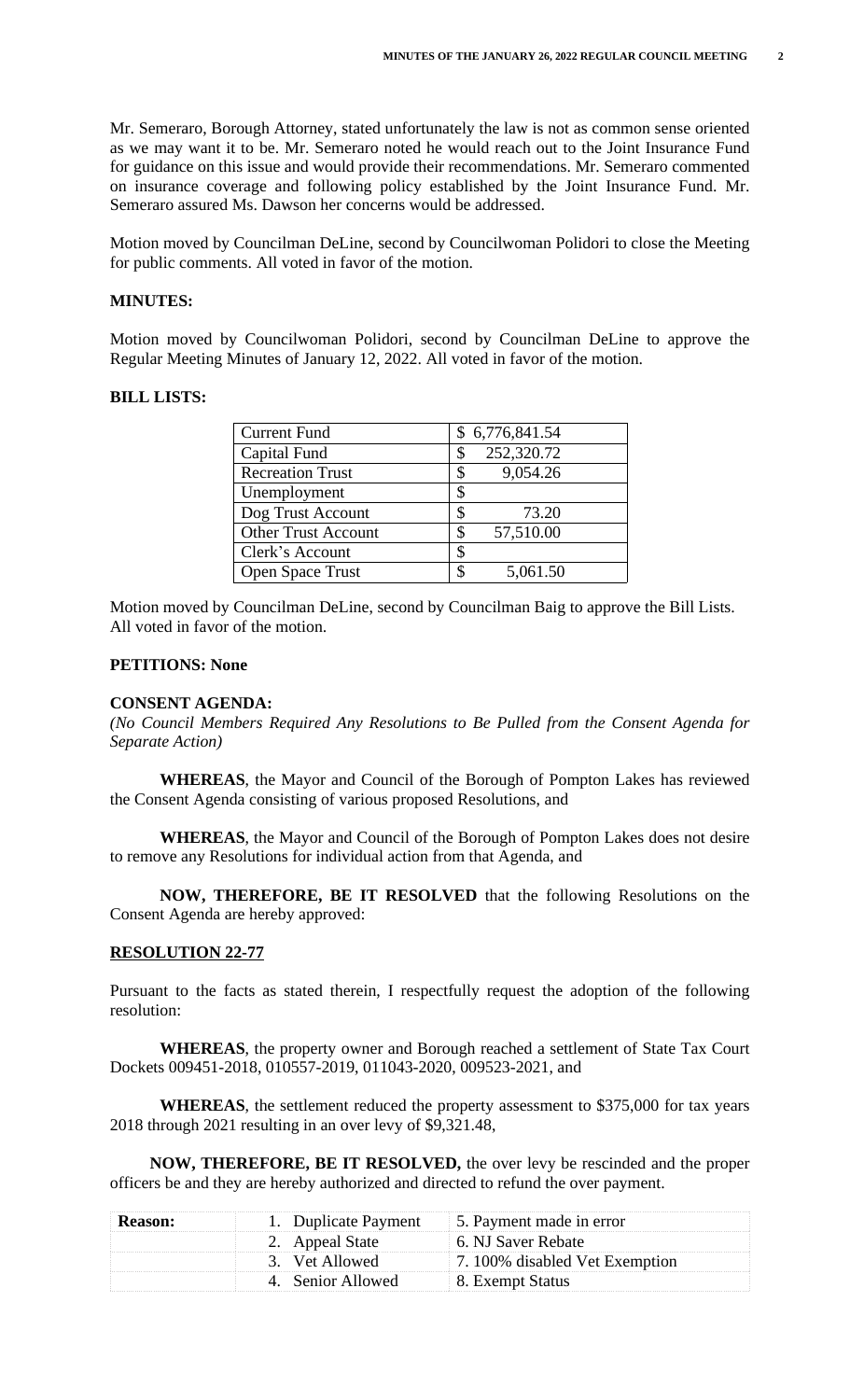Mr. Semeraro, Borough Attorney, stated unfortunately the law is not as common sense oriented as we may want it to be. Mr. Semeraro noted he would reach out to the Joint Insurance Fund for guidance on this issue and would provide their recommendations. Mr. Semeraro commented on insurance coverage and following policy established by the Joint Insurance Fund. Mr. Semeraro assured Ms. Dawson her concerns would be addressed.

Motion moved by Councilman DeLine, second by Councilwoman Polidori to close the Meeting for public comments. All voted in favor of the motion.

### **MINUTES:**

Motion moved by Councilwoman Polidori, second by Councilman DeLine to approve the Regular Meeting Minutes of January 12, 2022. All voted in favor of the motion.

#### **BILL LISTS:**

| <b>Current Fund</b>        | \$6,776,841.54  |
|----------------------------|-----------------|
| Capital Fund               | 252,320.72      |
| <b>Recreation Trust</b>    | 9,054.26        |
| Unemployment               | \$              |
| Dog Trust Account          | 73.20           |
| <b>Other Trust Account</b> | 57,510.00<br>\$ |
| Clerk's Account            | \$              |
| <b>Open Space Trust</b>    | 5,061.50        |

Motion moved by Councilman DeLine, second by Councilman Baig to approve the Bill Lists. All voted in favor of the motion.

### **PETITIONS: None**

#### **CONSENT AGENDA:**

*(No Council Members Required Any Resolutions to Be Pulled from the Consent Agenda for Separate Action)*

**WHEREAS**, the Mayor and Council of the Borough of Pompton Lakes has reviewed the Consent Agenda consisting of various proposed Resolutions, and

**WHEREAS**, the Mayor and Council of the Borough of Pompton Lakes does not desire to remove any Resolutions for individual action from that Agenda, and

**NOW, THEREFORE, BE IT RESOLVED** that the following Resolutions on the Consent Agenda are hereby approved:

#### **RESOLUTION 22-77**

Pursuant to the facts as stated therein, I respectfully request the adoption of the following resolution:

**WHEREAS**, the property owner and Borough reached a settlement of State Tax Court Dockets 009451-2018, 010557-2019, 011043-2020, 009523-2021, and

**WHEREAS**, the settlement reduced the property assessment to \$375,000 for tax years 2018 through 2021 resulting in an over levy of \$9,321.48,

**NOW, THEREFORE, BE IT RESOLVED,** the over levy be rescinded and the proper officers be and they are hereby authorized and directed to refund the over payment.

| <b>Reason:</b> |                  | 1. Duplicate Payment 5. Payment made in error |
|----------------|------------------|-----------------------------------------------|
|                | 2. Appeal State  | 6. NJ Saver Rebate                            |
|                | 3. Vet Allowed   | 7.100% disabled Vet Exemption                 |
|                | . Senior Allowed | 8. Exempt Status                              |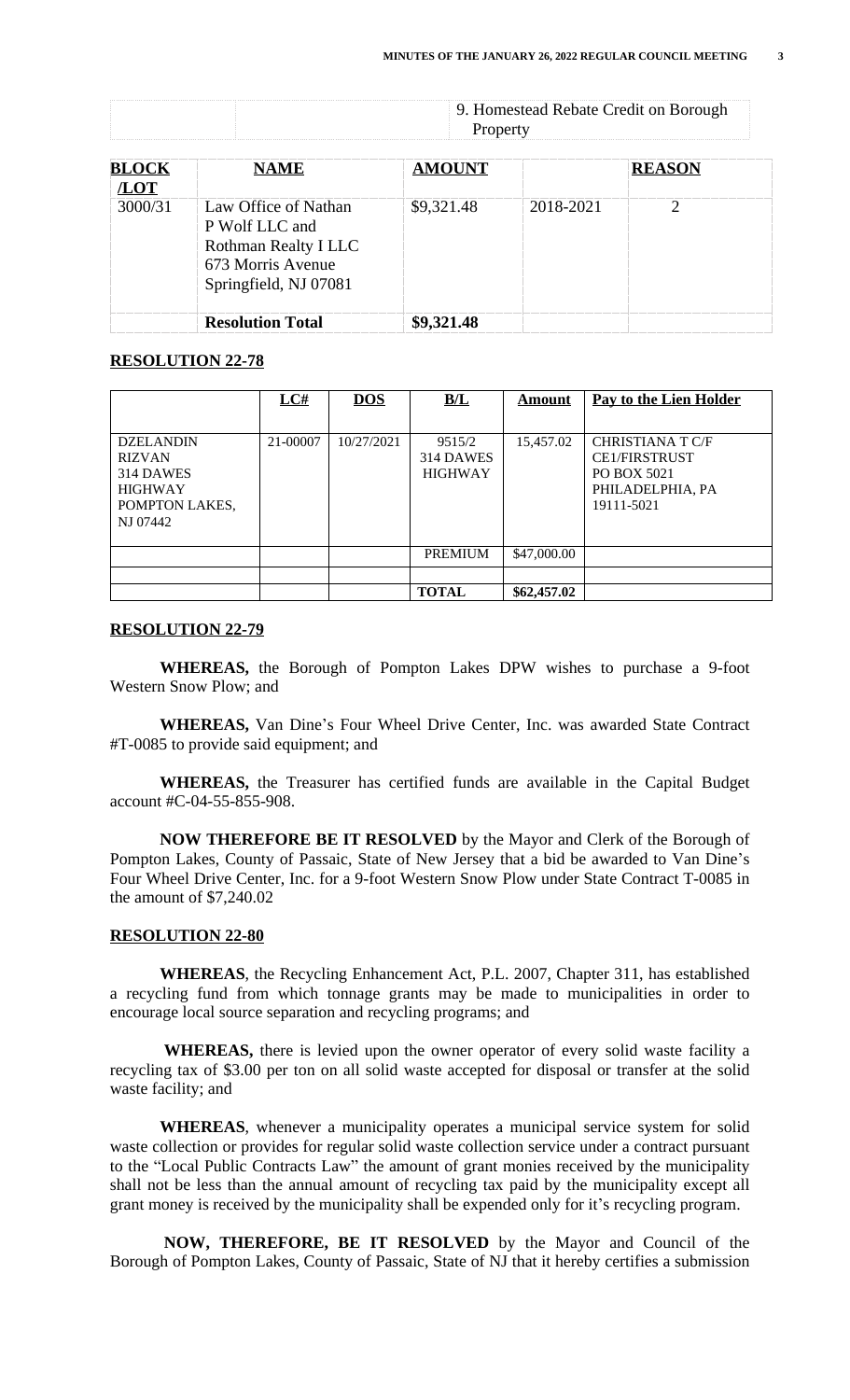9. Homestead Rebate Credit on Borough Property

| <b>BLOCK</b><br>/LOT | <b>NAME</b>                                                                                                  | <b>AMOUNT</b> |           | <b>REASON</b> |  |
|----------------------|--------------------------------------------------------------------------------------------------------------|---------------|-----------|---------------|--|
| 3000/31              | Law Office of Nathan<br>P Wolf LLC and<br>Rothman Realty I LLC<br>673 Morris Avenue<br>Springfield, NJ 07081 | \$9,321.48    | 2018-2021 | 2             |  |
|                      | <b>Resolution Total</b>                                                                                      | \$9,321.48    |           |               |  |

# **RESOLUTION 22-78**

|                  | LC#      | <b>DOS</b> | B/L            | <u>Amount</u> | Pay to the Lien Holder  |
|------------------|----------|------------|----------------|---------------|-------------------------|
|                  |          |            |                |               |                         |
| <b>DZELANDIN</b> | 21-00007 | 10/27/2021 | 9515/2         | 15,457.02     | <b>CHRISTIANA T C/F</b> |
| <b>RIZVAN</b>    |          |            | 314 DAWES      |               | <b>CE1/FIRSTRUST</b>    |
| 314 DAWES        |          |            | <b>HIGHWAY</b> |               | PO BOX 5021             |
| <b>HIGHWAY</b>   |          |            |                |               | PHILADELPHIA, PA        |
| POMPTON LAKES,   |          |            |                |               | 19111-5021              |
| NJ 07442         |          |            |                |               |                         |
|                  |          |            |                |               |                         |
|                  |          |            | <b>PREMIUM</b> | \$47,000.00   |                         |
|                  |          |            |                |               |                         |
|                  |          |            | <b>TOTAL</b>   | \$62,457.02   |                         |

### **RESOLUTION 22-79**

**WHEREAS,** the Borough of Pompton Lakes DPW wishes to purchase a 9-foot Western Snow Plow; and

**WHEREAS,** Van Dine's Four Wheel Drive Center, Inc. was awarded State Contract #T-0085 to provide said equipment; and

**WHEREAS,** the Treasurer has certified funds are available in the Capital Budget account #C-04-55-855-908.

**NOW THEREFORE BE IT RESOLVED** by the Mayor and Clerk of the Borough of Pompton Lakes, County of Passaic, State of New Jersey that a bid be awarded to Van Dine's Four Wheel Drive Center, Inc. for a 9-foot Western Snow Plow under State Contract T-0085 in the amount of \$7,240.02

### **RESOLUTION 22-80**

 **WHEREAS**, the Recycling Enhancement Act, P.L. 2007, Chapter 311, has established a recycling fund from which tonnage grants may be made to municipalities in order to encourage local source separation and recycling programs; and

 **WHEREAS,** there is levied upon the owner operator of every solid waste facility a recycling tax of \$3.00 per ton on all solid waste accepted for disposal or transfer at the solid waste facility; and

 **WHEREAS**, whenever a municipality operates a municipal service system for solid waste collection or provides for regular solid waste collection service under a contract pursuant to the "Local Public Contracts Law" the amount of grant monies received by the municipality shall not be less than the annual amount of recycling tax paid by the municipality except all grant money is received by the municipality shall be expended only for it's recycling program.

 **NOW, THEREFORE, BE IT RESOLVED** by the Mayor and Council of the Borough of Pompton Lakes, County of Passaic, State of NJ that it hereby certifies a submission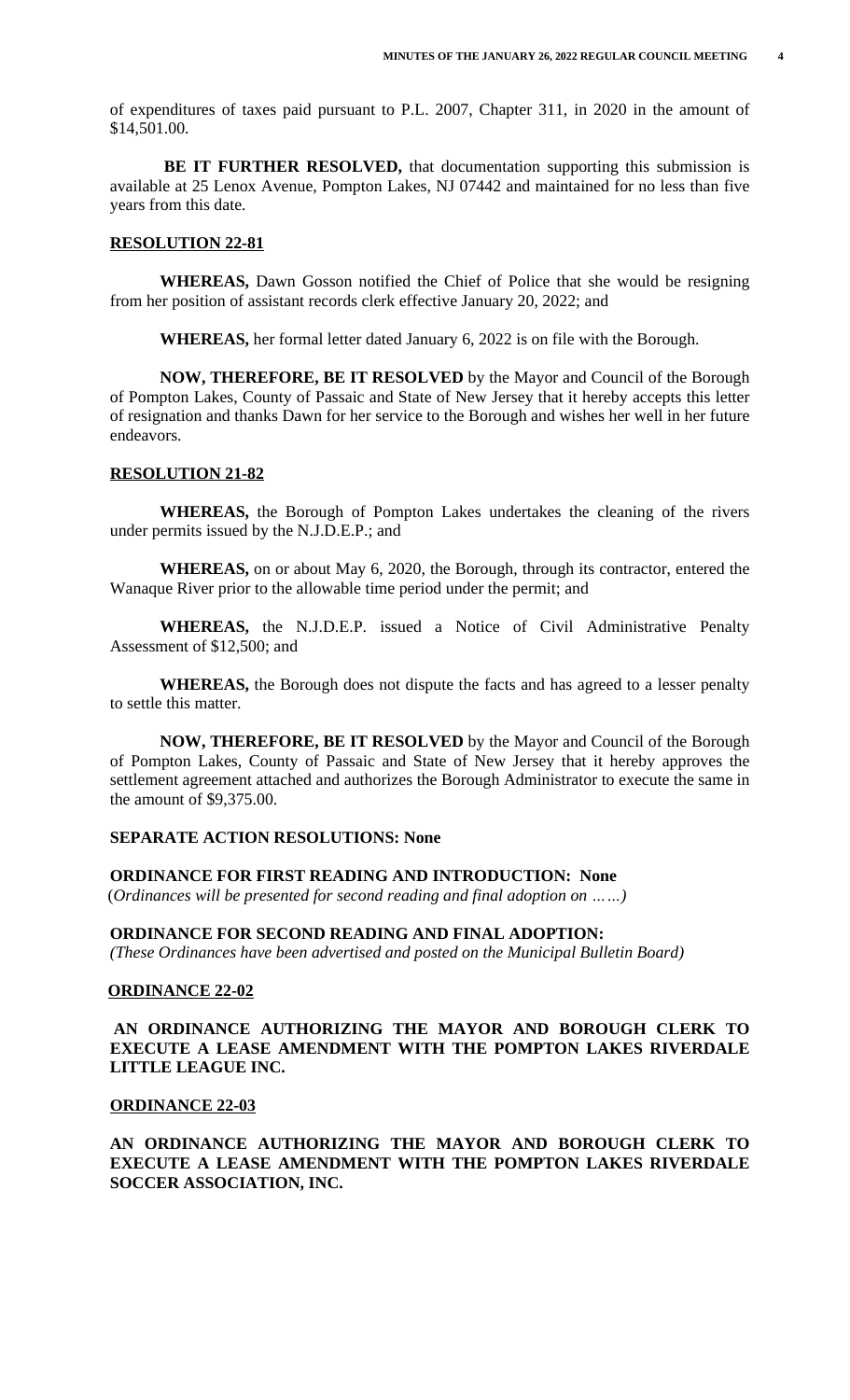of expenditures of taxes paid pursuant to P.L. 2007, Chapter 311, in 2020 in the amount of \$14,501.00.

 **BE IT FURTHER RESOLVED,** that documentation supporting this submission is available at 25 Lenox Avenue, Pompton Lakes, NJ 07442 and maintained for no less than five years from this date.

## **RESOLUTION 22-81**

**WHEREAS,** Dawn Gosson notified the Chief of Police that she would be resigning from her position of assistant records clerk effective January 20, 2022; and

**WHEREAS,** her formal letter dated January 6, 2022 is on file with the Borough.

**NOW, THEREFORE, BE IT RESOLVED** by the Mayor and Council of the Borough of Pompton Lakes, County of Passaic and State of New Jersey that it hereby accepts this letter of resignation and thanks Dawn for her service to the Borough and wishes her well in her future endeavors.

#### **RESOLUTION 21-82**

**WHEREAS,** the Borough of Pompton Lakes undertakes the cleaning of the rivers under permits issued by the N.J.D.E.P.; and

**WHEREAS,** on or about May 6, 2020, the Borough, through its contractor, entered the Wanaque River prior to the allowable time period under the permit; and

**WHEREAS,** the N.J.D.E.P. issued a Notice of Civil Administrative Penalty Assessment of \$12,500; and

**WHEREAS,** the Borough does not dispute the facts and has agreed to a lesser penalty to settle this matter.

**NOW, THEREFORE, BE IT RESOLVED** by the Mayor and Council of the Borough of Pompton Lakes, County of Passaic and State of New Jersey that it hereby approves the settlement agreement attached and authorizes the Borough Administrator to execute the same in the amount of \$9,375.00.

# **SEPARATE ACTION RESOLUTIONS: None**

 **ORDINANCE FOR FIRST READING AND INTRODUCTION: None** (*Ordinances will be presented for second reading and final adoption on ……)*

#### **ORDINANCE FOR SECOND READING AND FINAL ADOPTION:**

*(These Ordinances have been advertised and posted on the Municipal Bulletin Board)*

# **ORDINANCE 22-02**

**AN ORDINANCE AUTHORIZING THE MAYOR AND BOROUGH CLERK TO EXECUTE A LEASE AMENDMENT WITH THE POMPTON LAKES RIVERDALE LITTLE LEAGUE INC.**

#### **ORDINANCE 22-03**

**AN ORDINANCE AUTHORIZING THE MAYOR AND BOROUGH CLERK TO EXECUTE A LEASE AMENDMENT WITH THE POMPTON LAKES RIVERDALE SOCCER ASSOCIATION, INC.**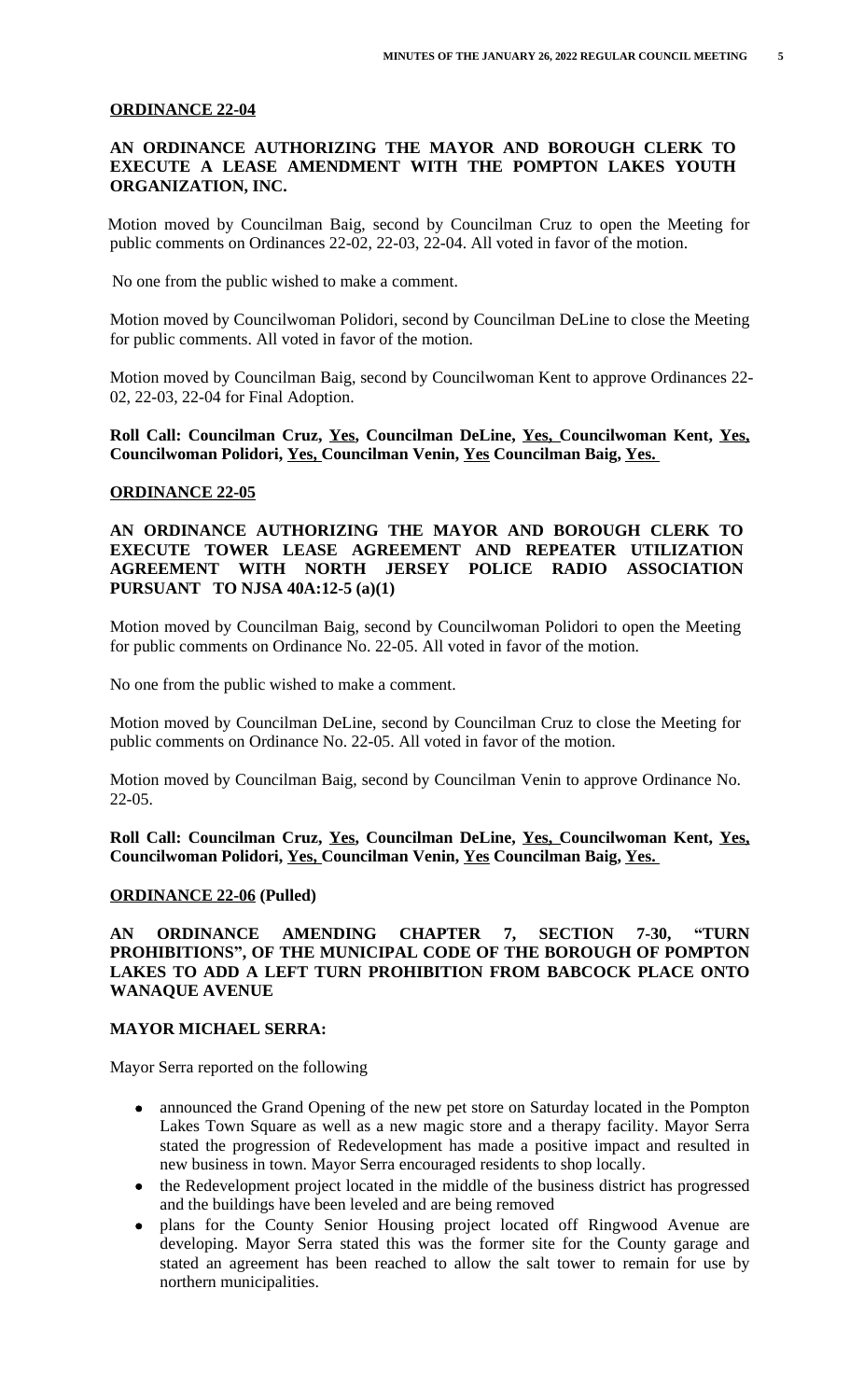# **ORDINANCE 22-04**

# **AN ORDINANCE AUTHORIZING THE MAYOR AND BOROUGH CLERK TO EXECUTE A LEASE AMENDMENT WITH THE POMPTON LAKES YOUTH ORGANIZATION, INC.**

Motion moved by Councilman Baig, second by Councilman Cruz to open the Meeting for public comments on Ordinances 22-02, 22-03, 22-04. All voted in favor of the motion.

No one from the public wished to make a comment.

Motion moved by Councilwoman Polidori, second by Councilman DeLine to close the Meeting for public comments. All voted in favor of the motion.

Motion moved by Councilman Baig, second by Councilwoman Kent to approve Ordinances 22- 02, 22-03, 22-04 for Final Adoption.

**Roll Call: Councilman Cruz, Yes, Councilman DeLine, Yes, Councilwoman Kent, Yes, Councilwoman Polidori, Yes, Councilman Venin, Yes Councilman Baig, Yes.** 

#### **ORDINANCE 22-05**

## **AN ORDINANCE AUTHORIZING THE MAYOR AND BOROUGH CLERK TO EXECUTE TOWER LEASE AGREEMENT AND REPEATER UTILIZATION AGREEMENT WITH NORTH JERSEY POLICE RADIO ASSOCIATION PURSUANT TO NJSA 40A:12-5 (a)(1)**

Motion moved by Councilman Baig, second by Councilwoman Polidori to open the Meeting for public comments on Ordinance No. 22-05. All voted in favor of the motion.

No one from the public wished to make a comment.

Motion moved by Councilman DeLine, second by Councilman Cruz to close the Meeting for public comments on Ordinance No. 22-05. All voted in favor of the motion.

Motion moved by Councilman Baig, second by Councilman Venin to approve Ordinance No. 22-05.

**Roll Call: Councilman Cruz, Yes, Councilman DeLine, Yes, Councilwoman Kent, Yes, Councilwoman Polidori, Yes, Councilman Venin, Yes Councilman Baig, Yes.** 

#### **ORDINANCE 22-06 (Pulled)**

**AN ORDINANCE AMENDING CHAPTER 7, SECTION 7-30, "TURN PROHIBITIONS" , OF THE MUNICIPAL CODE OF THE BOROUGH OF POMPTON LAKES TO ADD A LEFT TURN PROHIBITION FROM BABCOCK PLACE ONTO WANAQUE AVENUE**

#### **MAYOR MICHAEL SERRA:**

Mayor Serra reported on the following

- announced the Grand Opening of the new pet store on Saturday located in the Pompton Lakes Town Square as well as a new magic store and a therapy facility. Mayor Serra stated the progression of Redevelopment has made a positive impact and resulted in new business in town. Mayor Serra encouraged residents to shop locally.
- the Redevelopment project located in the middle of the business district has progressed and the buildings have been leveled and are being removed
- plans for the County Senior Housing project located off Ringwood Avenue are developing. Mayor Serra stated this was the former site for the County garage and stated an agreement has been reached to allow the salt tower to remain for use by northern municipalities.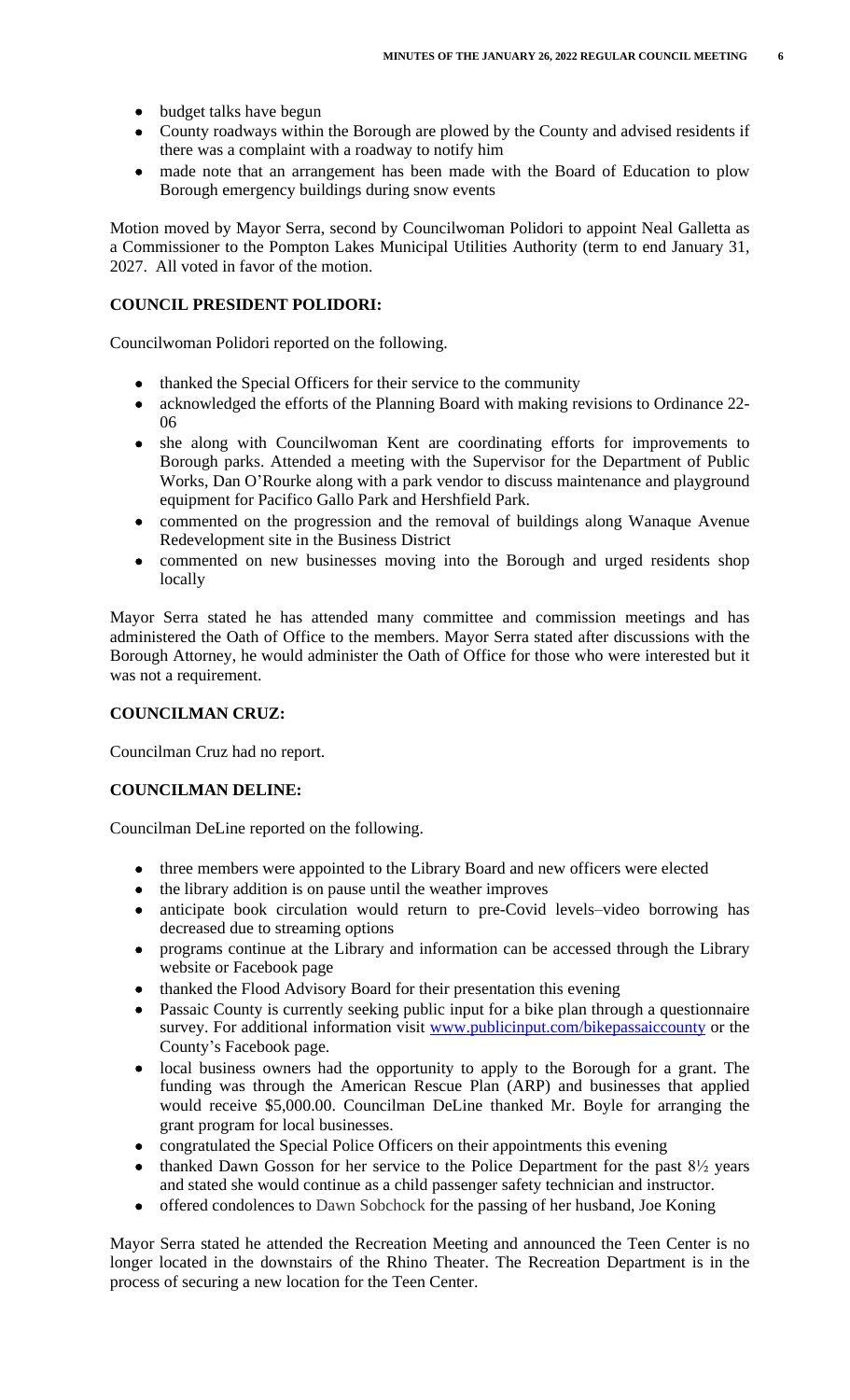#### **COUNCIL PRESIDENT POLIDORI:**

Councilwoman Polidori reported on the following.

- thanked the Special Officers for their service to the community
- acknowledged the efforts of the Planning Board with making revisions to Ordinance 22-06
- she along with Councilwoman Kent are coordinating efforts for improvements to Borough parks. Attended a meeting with the Supervisor for the Department of Public Works, Dan O'Rourke along with a park vendor to discuss maintenance and playground equipment for Pacifico Gallo Park and Hershfield Park.
- commented on the progression and the removal of buildings along Wanaque Avenue Redevelopment site in the Business District
- commented on new businesses moving into the Borough and urged residents shop locally

Mayor Serra stated he has attended many committee and commission meetings and has administered the Oath of Office to the members. Mayor Serra stated after discussions with the Borough Attorney, he would administer the Oath of Office for those who were interested but it was not a requirement.

# **COUNCILMAN CRUZ:**

Councilman Cruz had no report.

# **COUNCILMAN DELINE:**

Councilman DeLine reported on the following.

- three members were appointed to the Library Board and new officers were elected
- the library addition is on pause until the weather improves
- anticipate book circulation would return to pre-Covid levels–video borrowing has decreased due to streaming options
- programs continue at the Library and information can be accessed through the Library website or Facebook page
- thanked the Flood Advisory Board for their presentation this evening
- Passaic County is currently seeking public input for a bike plan through a questionnaire survey. For additional information visit www.publicinput.com/bikepassaiccounty or the County's Facebook page.
- local business owners had the opportunity to apply to the Borough for a grant. The funding was through the American Rescue Plan (ARP) and businesses that applied would receive \$5,000.00. Councilman DeLine thanked Mr. Boyle for arranging the grant program for local businesses.
- congratulated the Special Police Officers on their appointments this evening
- thanked Dawn Gosson for her service to the Police Department for the past  $8\frac{1}{2}$  years and stated she would continue as a child passenger safety technician and instructor.
- offered condolences to Dawn Sobchock for the passing of her husband, Joe Koning

Mayor Serra stated he attended the Recreation Meeting and announced the Teen Center is no longer located in the downstairs of the Rhino Theater. The Recreation Department is in the process of securing a new location for the Teen Center.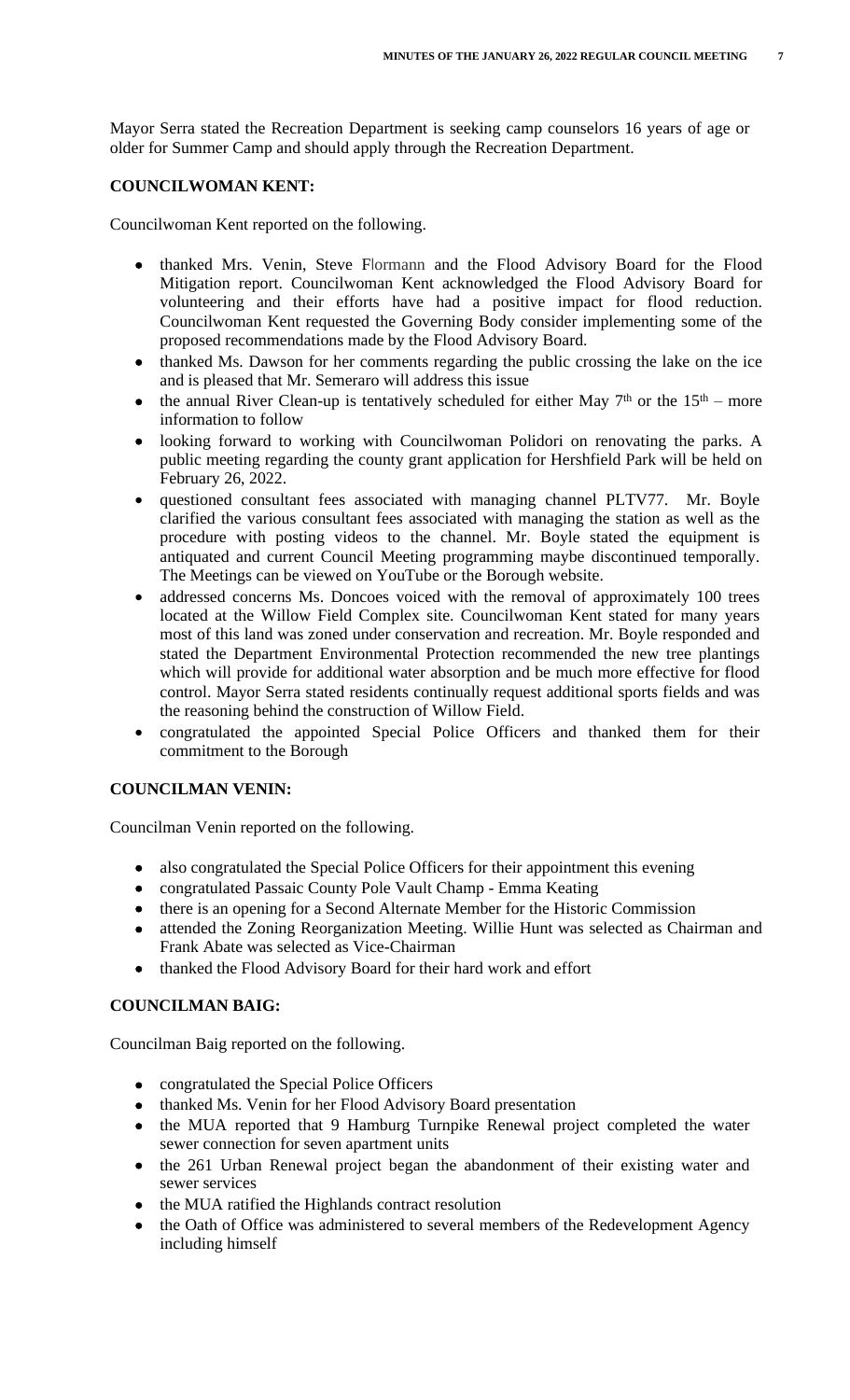Mayor Serra stated the Recreation Department is seeking camp counselors 16 years of age or older for Summer Camp and should apply through the Recreation Department.

## **COUNCILWOMAN KENT:**

Councilwoman Kent reported on the following.

- thanked Mrs. Venin, Steve Flormann and the Flood Advisory Board for the Flood Mitigation report. Councilwoman Kent acknowledged the Flood Advisory Board for volunteering and their efforts have had a positive impact for flood reduction. Councilwoman Kent requested the Governing Body consider implementing some of the proposed recommendations made by the Flood Advisory Board.
- thanked Ms. Dawson for her comments regarding the public crossing the lake on the ice and is pleased that Mr. Semeraro will address this issue
- the annual River Clean-up is tentatively scheduled for either May  $7<sup>th</sup>$  or the  $15<sup>th</sup>$  more information to follow
- looking forward to working with Councilwoman Polidori on renovating the parks. A public meeting regarding the county grant application for Hershfield Park will be held on February 26, 2022.
- questioned consultant fees associated with managing channel PLTV77. Mr. Boyle clarified the various consultant fees associated with managing the station as well as the procedure with posting videos to the channel. Mr. Boyle stated the equipment is antiquated and current Council Meeting programming maybe discontinued temporally. The Meetings can be viewed on YouTube or the Borough website.
- addressed concerns Ms. Doncoes voiced with the removal of approximately 100 trees located at the Willow Field Complex site. Councilwoman Kent stated for many years most of this land was zoned under conservation and recreation. Mr. Boyle responded and stated the Department Environmental Protection recommended the new tree plantings which will provide for additional water absorption and be much more effective for flood control. Mayor Serra stated residents continually request additional sports fields and was the reasoning behind the construction of Willow Field.
- congratulated the appointed Special Police Officers and thanked them for their commitment to the Borough

# **COUNCILMAN VENIN:**

Councilman Venin reported on the following.

- also congratulated the Special Police Officers for their appointment this evening
- congratulated Passaic County Pole Vault Champ Emma Keating
- there is an opening for a Second Alternate Member for the Historic Commission
- attended the Zoning Reorganization Meeting. Willie Hunt was selected as Chairman and Frank Abate was selected as Vice-Chairman
- thanked the Flood Advisory Board for their hard work and effort

# **COUNCILMAN BAIG:**

Councilman Baig reported on the following.

- congratulated the Special Police Officers
- thanked Ms. Venin for her Flood Advisory Board presentation
- the MUA reported that 9 Hamburg Turnpike Renewal project completed the water sewer connection for seven apartment units
- the 261 Urban Renewal project began the abandonment of their existing water and sewer services
- the MUA ratified the Highlands contract resolution
- the Oath of Office was administered to several members of the Redevelopment Agency including himself